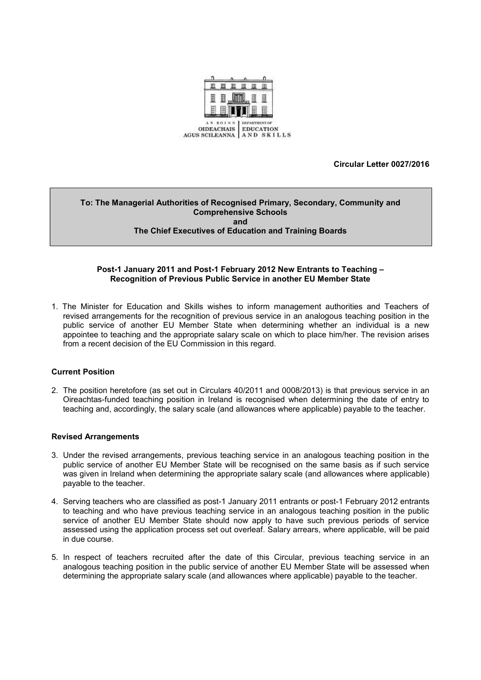

**Circular Letter 0027/2016**

#### **To: The Managerial Authorities of Recognised Primary, Secondary, Community and Comprehensive Schools and The Chief Executives of Education and Training Boards**

### **Post-1 January 2011 and Post-1 February 2012 New Entrants to Teaching – Recognition of Previous Public Service in another EU Member State**

1. The Minister for Education and Skills wishes to inform management authorities and Teachers of revised arrangements for the recognition of previous service in an analogous teaching position in the public service of another EU Member State when determining whether an individual is a new appointee to teaching and the appropriate salary scale on which to place him/her. The revision arises from a recent decision of the EU Commission in this regard.

#### **Current Position**

2. The position heretofore (as set out in Circulars 40/2011 and 0008/2013) is that previous service in an Oireachtas-funded teaching position in Ireland is recognised when determining the date of entry to teaching and, accordingly, the salary scale (and allowances where applicable) payable to the teacher.

#### **Revised Arrangements**

- 3. Under the revised arrangements, previous teaching service in an analogous teaching position in the public service of another EU Member State will be recognised on the same basis as if such service was given in Ireland when determining the appropriate salary scale (and allowances where applicable) payable to the teacher.
- 4. Serving teachers who are classified as post-1 January 2011 entrants or post-1 February 2012 entrants to teaching and who have previous teaching service in an analogous teaching position in the public service of another EU Member State should now apply to have such previous periods of service assessed using the application process set out overleaf. Salary arrears, where applicable, will be paid in due course.
- 5. In respect of teachers recruited after the date of this Circular, previous teaching service in an analogous teaching position in the public service of another EU Member State will be assessed when determining the appropriate salary scale (and allowances where applicable) payable to the teacher.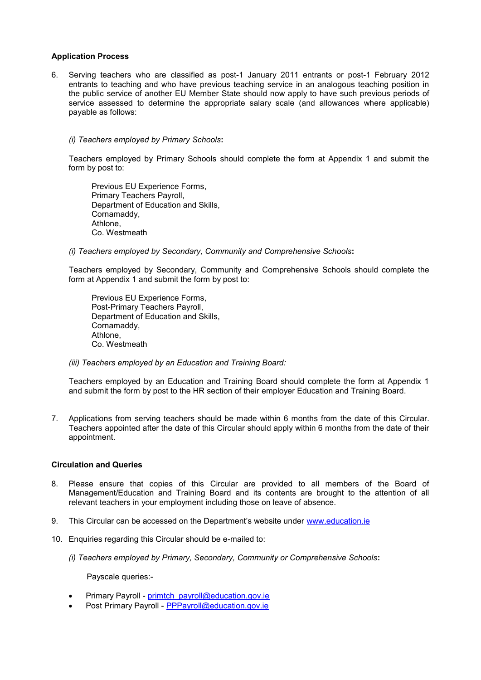### **Application Process**

6. Serving teachers who are classified as post-1 January 2011 entrants or post-1 February 2012 entrants to teaching and who have previous teaching service in an analogous teaching position in the public service of another EU Member State should now apply to have such previous periods of service assessed to determine the appropriate salary scale (and allowances where applicable) payable as follows:

#### *(i) Teachers employed by Primary Schools***:**

Teachers employed by Primary Schools should complete the form at Appendix 1 and submit the form by post to:

Previous EU Experience Forms, Primary Teachers Payroll, Department of Education and Skills, Cornamaddy, Athlone, Co. Westmeath

*(i) Teachers employed by Secondary, Community and Comprehensive Schools***:**

Teachers employed by Secondary, Community and Comprehensive Schools should complete the form at Appendix 1 and submit the form by post to:

Previous EU Experience Forms, Post-Primary Teachers Payroll, Department of Education and Skills, Cornamaddy, Athlone, Co. Westmeath

*(iii) Teachers employed by an Education and Training Board:*

Teachers employed by an Education and Training Board should complete the form at Appendix 1 and submit the form by post to the HR section of their employer Education and Training Board.

7. Applications from serving teachers should be made within 6 months from the date of this Circular. Teachers appointed after the date of this Circular should apply within 6 months from the date of their appointment.

## **Circulation and Queries**

- 8. Please ensure that copies of this Circular are provided to all members of the Board of Management/Education and Training Board and its contents are brought to the attention of all relevant teachers in your employment including those on leave of absence.
- 9. This Circular can be accessed on the Department's website under [www.education.ie](http://www.education.ie/)
- 10. Enquiries regarding this Circular should be e-mailed to:
	- *(i) Teachers employed by Primary, Secondary, Community or Comprehensive Schools***:**

Payscale queries:-

- Primary Payroll [primtch\\_payroll@education.gov.ie](mailto:primtch_payroll@education.gov.ie)
- Post Primary Payroll [PPPayroll@education.gov.ie](mailto:PPPayroll@education.gov.ie)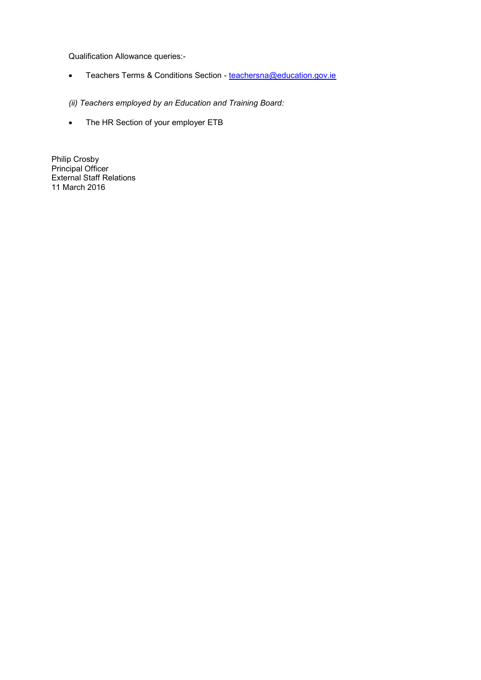Qualification Allowance queries:-

Teachers Terms & Conditions Section - [teachersna@education.gov.ie](mailto:teachersna@education.gov.ie)

*(ii) Teachers employed by an Education and Training Board:*

• The HR Section of your employer ETB

Philip Crosby Principal Officer External Staff Relations 11 March 2016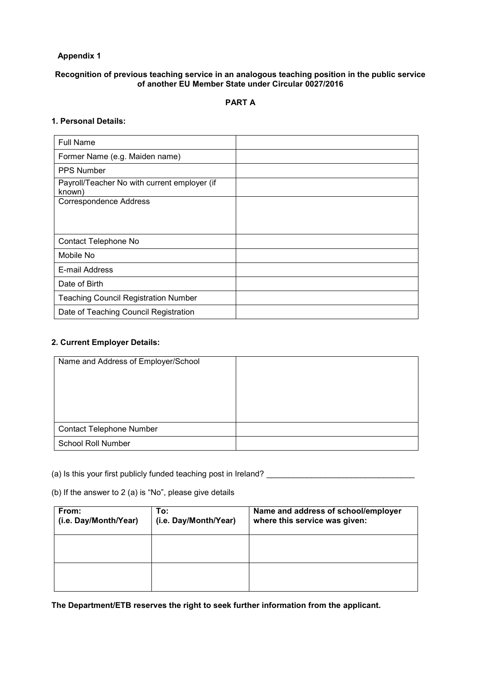# **Appendix 1**

### **Recognition of previous teaching service in an analogous teaching position in the public service of another EU Member State under Circular 0027/2016**

# **PART A**

# **1. Personal Details:**

| <b>Full Name</b>                                       |  |
|--------------------------------------------------------|--|
| Former Name (e.g. Maiden name)                         |  |
| <b>PPS Number</b>                                      |  |
| Payroll/Teacher No with current employer (if<br>known) |  |
| <b>Correspondence Address</b>                          |  |
|                                                        |  |
|                                                        |  |
| Contact Telephone No                                   |  |
| Mobile No                                              |  |
| E-mail Address                                         |  |
| Date of Birth                                          |  |
| <b>Teaching Council Registration Number</b>            |  |
| Date of Teaching Council Registration                  |  |

# **2. Current Employer Details:**

| Name and Address of Employer/School |  |
|-------------------------------------|--|
|                                     |  |
|                                     |  |
|                                     |  |
|                                     |  |
| <b>Contact Telephone Number</b>     |  |
| <b>School Roll Number</b>           |  |

(a) Is this your first publicly funded teaching post in Ireland? \_\_\_\_\_\_\_\_\_\_\_\_\_\_\_\_\_\_\_\_\_\_\_\_\_\_\_\_\_\_\_\_\_

(b) If the answer to 2 (a) is "No", please give details

| From:<br>(i.e. Day/Month/Year) | To:<br>(i.e. Day/Month/Year) | Name and address of school/employer<br>where this service was given: |
|--------------------------------|------------------------------|----------------------------------------------------------------------|
|                                |                              |                                                                      |
|                                |                              |                                                                      |

**The Department/ETB reserves the right to seek further information from the applicant.**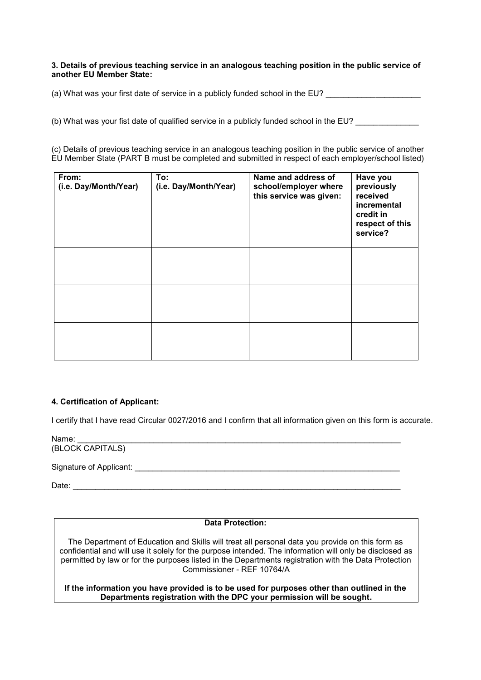### **3. Details of previous teaching service in an analogous teaching position in the public service of another EU Member State:**

(a) What was your first date of service in a publicly funded school in the EU?

(b) What was your fist date of qualified service in a publicly funded school in the EU?

(c) Details of previous teaching service in an analogous teaching position in the public service of another EU Member State (PART B must be completed and submitted in respect of each employer/school listed)

| From:<br>(i.e. Day/Month/Year) | To:<br>(i.e. Day/Month/Year) | Name and address of<br>school/employer where<br>this service was given: | Have you<br>previously<br>received<br>incremental<br>credit in<br>respect of this<br>service? |
|--------------------------------|------------------------------|-------------------------------------------------------------------------|-----------------------------------------------------------------------------------------------|
|                                |                              |                                                                         |                                                                                               |
|                                |                              |                                                                         |                                                                                               |
|                                |                              |                                                                         |                                                                                               |

## **4. Certification of Applicant:**

I certify that I have read Circular 0027/2016 and I confirm that all information given on this form is accurate.

Name: \_\_\_\_\_\_\_\_\_\_\_\_\_\_\_\_\_\_\_\_\_\_\_\_\_\_\_\_\_\_\_\_\_\_\_\_\_\_\_\_\_\_\_\_\_\_\_\_\_\_\_\_\_\_\_\_\_\_\_\_\_\_\_\_\_\_\_\_\_\_\_\_ (BLOCK CAPITALS)

Signature of Applicant: \_\_\_\_\_\_\_\_\_\_\_\_\_\_\_\_\_\_\_\_\_\_\_\_\_\_\_\_\_\_\_\_\_\_\_\_\_\_\_\_\_\_\_\_\_\_\_\_\_\_\_\_\_\_\_\_\_\_\_

Date: \_\_\_\_\_\_\_\_\_\_\_\_\_\_\_\_\_\_\_\_\_\_\_\_\_\_\_\_\_\_\_\_\_\_\_\_\_\_\_\_\_\_\_\_\_\_\_\_\_\_\_\_\_\_\_\_\_\_\_\_\_\_\_\_\_\_\_\_\_\_\_\_\_

## **Data Protection:**

The Department of Education and Skills will treat all personal data you provide on this form as confidential and will use it solely for the purpose intended. The information will only be disclosed as permitted by law or for the purposes listed in the Departments registration with the Data Protection Commissioner - REF 10764/A

**If the information you have provided is to be used for purposes other than outlined in the Departments registration with the DPC your permission will be sought.**